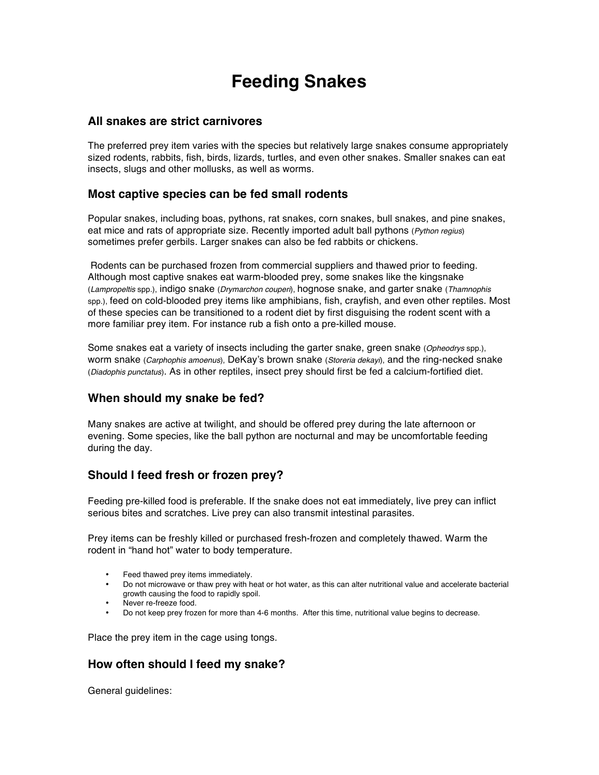# **Feeding Snakes**

#### **All snakes are strict carnivores**

The preferred prey item varies with the species but relatively large snakes consume appropriately sized rodents, rabbits, fish, birds, lizards, turtles, and even other snakes. Smaller snakes can eat insects, slugs and other mollusks, as well as worms.

# **Most captive species can be fed small rodents**

Popular snakes, including boas, pythons, rat snakes, corn snakes, bull snakes, and pine snakes, eat mice and rats of appropriate size. Recently imported adult ball pythons (*Python regius*) sometimes prefer gerbils. Larger snakes can also be fed rabbits or chickens.

Rodents can be purchased frozen from commercial suppliers and thawed prior to feeding. Although most captive snakes eat warm-blooded prey, some snakes like the kingsnake (*Lampropeltis* spp.), indigo snake (*Drymarchon couperi*), hognose snake, and garter snake (*Thamnophis* spp.), feed on cold-blooded prey items like amphibians, fish, crayfish, and even other reptiles. Most of these species can be transitioned to a rodent diet by first disguising the rodent scent with a more familiar prey item. For instance rub a fish onto a pre-killed mouse.

Some snakes eat a variety of insects including the garter snake, green snake (*Opheodrys* spp.), worm snake (*Carphophis amoenus*), DeKay's brown snake (*Storeria dekayi*), and the ring-necked snake (*Diadophis punctatus*). As in other reptiles, insect prey should first be fed a calcium-fortified diet.

# **When should my snake be fed?**

Many snakes are active at twilight, and should be offered prey during the late afternoon or evening. Some species, like the ball python are nocturnal and may be uncomfortable feeding during the day.

# **Should I feed fresh or frozen prey?**

Feeding pre-killed food is preferable. If the snake does not eat immediately, live prey can inflict serious bites and scratches. Live prey can also transmit intestinal parasites.

Prey items can be freshly killed or purchased fresh-frozen and completely thawed. Warm the rodent in "hand hot" water to body temperature.

- Feed thawed prey items immediately.
- Do not microwave or thaw prey with heat or hot water, as this can alter nutritional value and accelerate bacterial growth causing the food to rapidly spoil.
- Never re-freeze food.
- Do not keep prey frozen for more than 4-6 months. After this time, nutritional value begins to decrease.

Place the prey item in the cage using tongs.

# **How often should I feed my snake?**

General guidelines: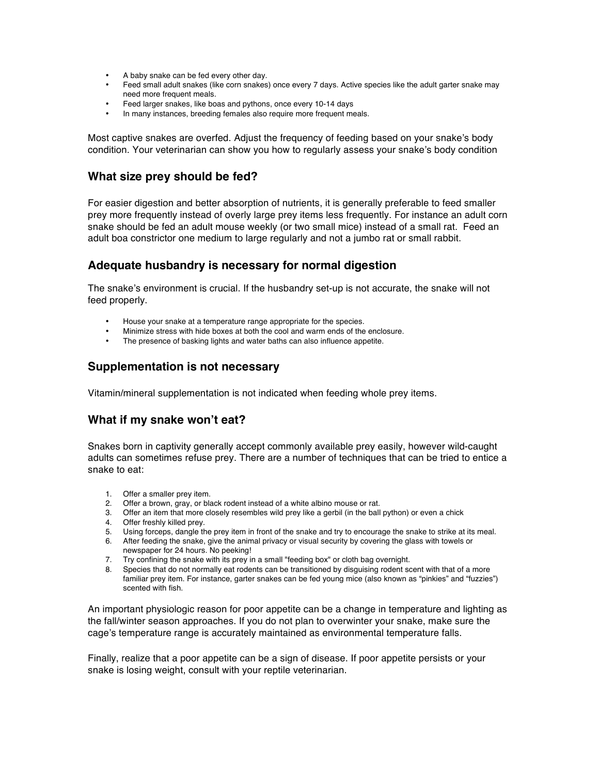- A baby snake can be fed every other day.
- Feed small adult snakes (like corn snakes) once every 7 days. Active species like the adult garter snake may need more frequent meals.
- Feed larger snakes, like boas and pythons, once every 10-14 days
- In many instances, breeding females also require more frequent meals.

Most captive snakes are overfed. Adjust the frequency of feeding based on your snake's body condition. Your veterinarian can show you how to regularly assess your snake's body condition

#### **What size prey should be fed?**

For easier digestion and better absorption of nutrients, it is generally preferable to feed smaller prey more frequently instead of overly large prey items less frequently. For instance an adult corn snake should be fed an adult mouse weekly (or two small mice) instead of a small rat. Feed an adult boa constrictor one medium to large regularly and not a jumbo rat or small rabbit.

# **Adequate husbandry is necessary for normal digestion**

The snake's environment is crucial. If the husbandry set-up is not accurate, the snake will not feed properly.

- House your snake at a temperature range appropriate for the species.
- Minimize stress with hide boxes at both the cool and warm ends of the enclosure.<br>• The presence of backing lights and water baths can also influence appoints.
- The presence of basking lights and water baths can also influence appetite.

# **Supplementation is not necessary**

Vitamin/mineral supplementation is not indicated when feeding whole prey items.

# **What if my snake won't eat?**

Snakes born in captivity generally accept commonly available prey easily, however wild-caught adults can sometimes refuse prey. There are a number of techniques that can be tried to entice a snake to eat:

- 1. Offer a smaller prey item.
- 2. Offer a brown, gray, or black rodent instead of a white albino mouse or rat.
- 3. Offer an item that more closely resembles wild prey like a gerbil (in the ball python) or even a chick
- 4. Offer freshly killed prey.
- 5. Using forceps, dangle the prey item in front of the snake and try to encourage the snake to strike at its meal.
- 6. After feeding the snake, give the animal privacy or visual security by covering the glass with towels or newspaper for 24 hours. No peeking!
- 7. Try confining the snake with its prey in a small "feeding box" or cloth bag overnight.
- 8. Species that do not normally eat rodents can be transitioned by disguising rodent scent with that of a more familiar prey item. For instance, garter snakes can be fed young mice (also known as "pinkies" and "fuzzies") scented with fish.

An important physiologic reason for poor appetite can be a change in temperature and lighting as the fall/winter season approaches. If you do not plan to overwinter your snake, make sure the cage's temperature range is accurately maintained as environmental temperature falls.

Finally, realize that a poor appetite can be a sign of disease. If poor appetite persists or your snake is losing weight, consult with your reptile veterinarian.